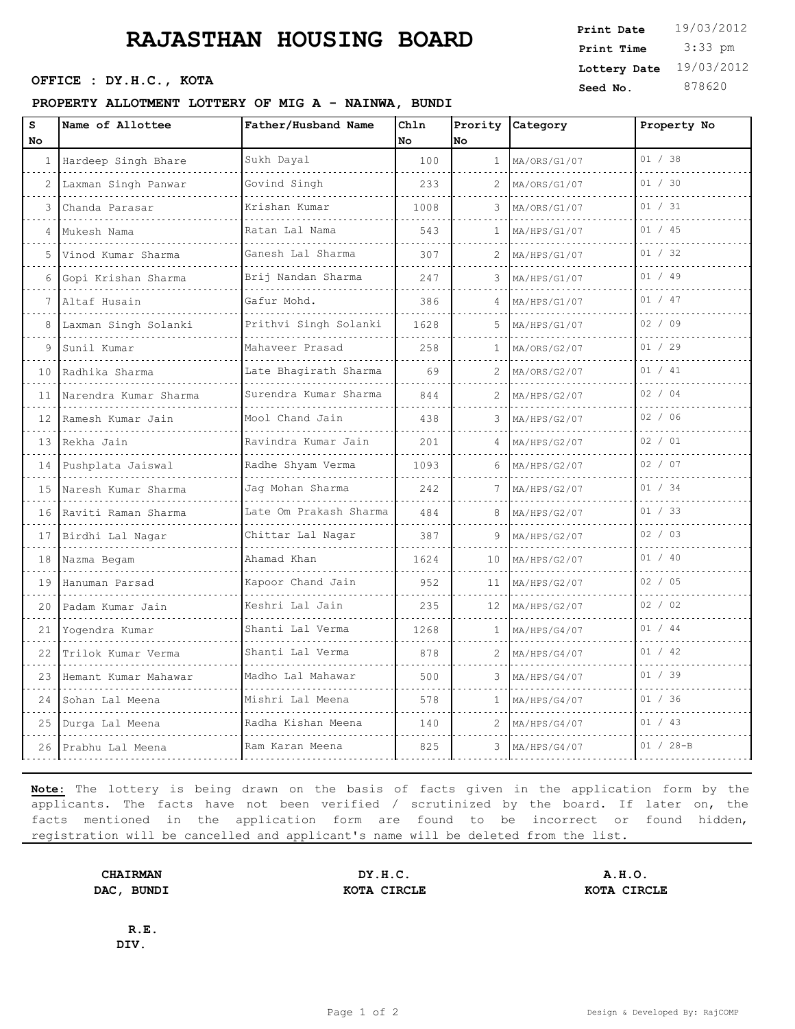# **RAJASTHAN HOUSING BOARD**

#### **PROPERTY ALLOTMENT LOTTERY OF MIG A - NAINWA, BUNDI**

| s<br>No           | Name of Allottee          | Father/Husband Name            | Chln<br>No | No                    | Prority Category | Property No   |
|-------------------|---------------------------|--------------------------------|------------|-----------------------|------------------|---------------|
|                   | 1 Hardeep Singh Bhare     | Sukh Dayal                     | 100        | $\mathbf{1}$          | MA/ORS/G1/07     | 01 / 38       |
| 2                 | Laxman Singh Panwar       | Govind Singh                   | 233        |                       | MA/ORS/G1/07     | 01 / 30       |
| 3                 | Chanda Parasar            | Krishan Kumar                  | 1008       | 3                     | MA/ORS/G1/07     | 01 / 31       |
| 4                 | Mukesh Nama               | Ratan Lal Nama                 | 543        | 1                     | MA/HPS/G1/07     | 01 / 45       |
| 5                 | Vinod Kumar Sharma        | Ganesh Lal Sharma              | 307        | 2                     | MA/HPS/G1/07     | 01 / 32       |
| 6                 | .<br>Gopi Krishan Sharma  | <u>.</u><br>Brij Nandan Sharma | 247        | 3                     | MA/HPS/G1/07     | 01 / 49       |
| 7                 | Altaf Husain              | Gafur Mohd.                    | 386        | 4                     | MA/HPS/G1/07     | 01 / 47       |
| 8                 | Laxman Singh Solanki      | Prithvi Singh Solanki          | 1628       | 5                     | MA/HPS/G1/07     | 02 / 09       |
| 9                 | Sunil Kumar               | Mahaveer Prasad                | 258        | 1                     | MA/ORS/G2/07     | 01 / 29       |
| 10                | Radhika Sharma            | Late Bhagirath Sharma          | 69         | 2                     | MA/ORS/G2/07     | 01 / 41       |
| 11                | Narendra Kumar Sharma     | Surendra Kumar Sharma<br>.     | 844        | 2                     | MA/HPS/G2/07     | 02 / 04       |
| $12 \overline{ }$ | Ramesh Kumar Jain         | Mool Chand Jain<br>.           | 438        | 3                     | MA/HPS/G2/07     | 02 / 06       |
|                   | 13 Rekha Jain             | Ravindra Kumar Jain            | 201        | 4                     | MA/HPS/G2/07     | 02 / 01       |
|                   | 14 Pushplata Jaiswal      | Radhe Shyam Verma              | 1093       | 6                     | MA/HPS/G2/07     | 02 / 07       |
| 15                | Naresh Kumar Sharma       | Jaq Mohan Sharma               | 242        |                       | MA/HPS/G2/07     | 01 / 34       |
| 16                | Raviti Raman Sharma       | Late Om Prakash Sharma         | 484        | 8                     | MA/HPS/G2/07     | 01 / 33       |
| 17                | Birdhi Lal Nagar          | Chittar Lal Nagar              | 387        | 9                     | MA/HPS/G2/07     | 02 / 03       |
| 18                | Nazma Begam               | Ahamad Khan                    | 1624       | 10                    | MA/HPS/G2/07     | 01 / 40       |
| 19                | Hanuman Parsad            | Kapoor Chand Jain              | 952        | 11                    | MA/HPS/G2/07     | 02 / 05       |
| 20                | Padam Kumar Jain          | Keshri Lal Jain                | 235        | $12 \overline{ }$     | MA/HPS/G2/07     | 02 / 02       |
| 21                | Yogendra Kumar            | Shanti Lal Verma               | 1268       | $\mathbf{1}$          | MA/HPS/G4/07     | 01 / 44       |
| 22                | Trilok Kumar Verma        | Shanti Lal Verma               | 878        | 2                     | MA/HPS/G4/07     | 01 / 42       |
| 23                | Hemant Kumar Mahawar<br>. | Madho Lal Mahawar              | 500        | 3                     | MA/HPS/G4/07     | 01 / 39       |
| 2.4               | Sohan Lal Meena           | Mishri Lal Meena               | 578        | 1                     | MA/HPS/G4/07     | 01 / 36       |
| 25                | Durga Lal Meena           | Radha Kishan Meena             | 140        | $\mathbf{2}^{\prime}$ | MA/HPS/G4/07     | 01 / 43       |
| 26                | Prabhu Lal Meena          | Ram Karan Meena                | 825        | 3                     | MA/HPS/G4/07     | $01 / 28 - B$ |

**Note:** The lottery is being drawn on the basis of facts given in the application form by the applicants. The facts have not been verified / scrutinized by the board. If later on, the facts mentioned in the application form are found to be incorrect or found hidden, registration will be cancelled and applicant's name will be deleted from the list.

**CHAIRMAN DY.H.C. A.H.O. DAC, BUNDI KOTA CIRCLE KOTA CIRCLE**

**R.E. DIV.**